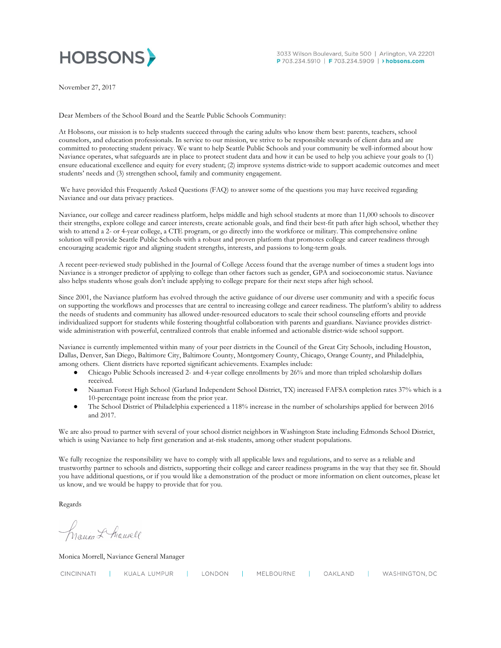

November 27, 2017

Dear Members of the School Board and the Seattle Public Schools Community:

 At Hobsons, our mission is to help students succeed through the caring adults who know them best: parents, teachers, school counselors, and education professionals. In service to our mission, we strive to be responsible stewards of client data and are committed to protecting student privacy. We want to help Seattle Public Schools and your community be well-informed about how Naviance operates, what safeguards are in place to protect student data and how it can be used to help you achieve your goals to (1) ensure educational excellence and equity for every student; (2) improve systems district-wide to support academic outcomes and meet students' needs and (3) strengthen school, family and community engagement.

 We have provided this Frequently Asked Questions (FAQ) to answer some of the questions you may have received regarding Naviance and our data privacy practices.

 Naviance, our college and career readiness platform, helps middle and high school students at more than 11,000 schools to discover their strengths, explore college and career interests, create actionable goals, and find their best-fit path after high school, whether they wish to attend a 2- or 4-year college, a CTE program, or go directly into the workforce or military. This comprehensive online solution will provide Seattle Public Schools with a robust and proven platform that promotes college and career readiness through encouraging academic rigor and aligning student strengths, interests, and passions to long-term goals.

 A recent peer-reviewed study published in the Journal of College Access found that the average number of times a student logs into Naviance is a stronger predictor of applying to college than other factors such as gender, GPA and socioeconomic status. Naviance also helps students whose goals don't include applying to college prepare for their next steps after high school.

 Since 2001, the Naviance platform has evolved through the active guidance of our diverse user community and with a specific focus on supporting the workflows and processes that are central to increasing college and career readiness. The platform's ability to address the needs of students and community has allowed under-resourced educators to scale their school counseling efforts and provide individualized support for students while fostering thoughtful collaboration with parents and guardians. Naviance provides district-wide administration with powerful, centralized controls that enable informed and actionable district-wide school support.

 Naviance is currently implemented within many of your peer districts in the Council of the Great City Schools, including Houston, Dallas, Denver, San Diego, Baltimore City, Baltimore County, Montgomery County, Chicago, Orange County, and Philadelphia, among others. Client districts have reported significant achievements. Examples include:

- ● Chicago Public Schools increased 2- and 4-year college enrollments by 26% and more than tripled scholarship dollars received.
- ● Naaman Forest High School (Garland Independent School District, TX) increased FAFSA completion rates 37% which is a 10-percentage point increase from the prior year.
- ● The School District of Philadelphia experienced a 118% increase in the number of scholarships applied for between 2016 and 2017.

 We are also proud to partner with several of your school district neighbors in Washington State including Edmonds School District, which is using Naviance to help first generation and at-risk students, among other student populations.

 We fully recognize the responsibility we have to comply with all applicable laws and regulations, and to serve as a reliable and trustworthy partner to schools and districts, supporting their college and career readiness programs in the way that they see fit. Should you have additional questions, or if you would like a demonstration of the product or more information on client outcomes, please let us know, and we would be happy to provide that for you.

Regards

Recica L Momell

Monica Morrell, Naviance General Manager

| CINCINNATI | KUALA LUMPUR | LONDON | MELBOURNE | OAKLAND | WASHINGTON, DC |
|------------|--------------|--------|-----------|---------|----------------|
|            |              |        |           |         |                |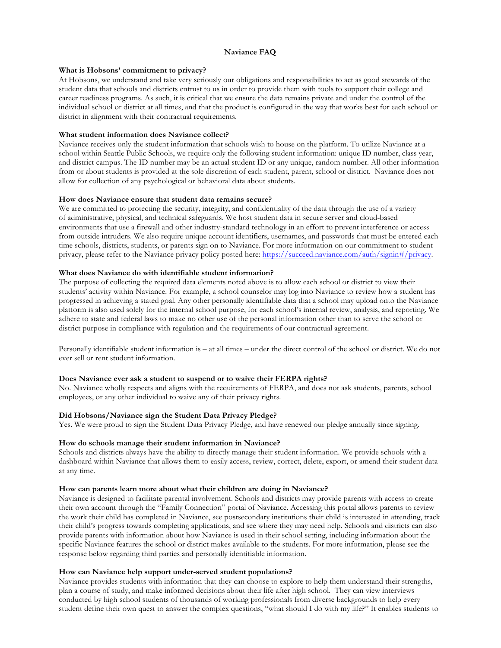### **Naviance FAQ**

### **What is Hobsons' commitment to privacy?**

 At Hobsons, we understand and take very seriously our obligations and responsibilities to act as good stewards of the student data that schools and districts entrust to us in order to provide them with tools to support their college and career readiness programs. As such, it is critical that we ensure the data remains private and under the control of the district in alignment with their contractual requirements. individual school or district at all times, and that the product is configured in the way that works best for each school or

### **What student information does Naviance collect?**

 Naviance receives only the student information that schools wish to house on the platform. To utilize Naviance at a school within Seattle Public Schools, we require only the following student information: unique ID number, class year, and district campus. The ID number may be an actual student ID or any unique, random number. All other information from or about students is provided at the sole discretion of each student, parent, school or district. Naviance does not allow for collection of any psychological or behavioral data about students.

#### **How does Naviance ensure that student data remains secure?**

 We are committed to protecting the security, integrity, and confidentiality of the data through the use of a variety of administrative, physical, and technical safeguards. We host student data in secure server and cloud-based environments that use a firewall and other industry-standard technology in an effort to prevent interference or access from outside intruders. We also require unique account identifiers, usernames, and passwords that must be entered each time schools, districts, students, or parents sign on to Naviance. For more information on our commitment to student privacy, please refer to the Naviance privacy policy posted here: https://succeed.naviance.com/auth/signin#/privacy.

#### **What does Naviance do with identifiable student information?**

 The purpose of collecting the required data elements noted above is to allow each school or district to view their students' activity within Naviance. For example, a school counselor may log into Naviance to review how a student has progressed in achieving a stated goal. Any other personally identifiable data that a school may upload onto the Naviance platform is also used solely for the internal school purpose, for each school's internal review, analysis, and reporting. We adhere to state and federal laws to make no other use of the personal information other than to serve the school or district purpose in compliance with regulation and the requirements of our contractual agreement.

 Personally identifiable student information is – at all times – under the direct control of the school or district. We do not ever sell or rent student information.

#### **Does Naviance ever ask a student to suspend or to waive their FERPA rights?**

 No. Naviance wholly respects and aligns with the requirements of FERPA, and does not ask students, parents, school employees, or any other individual to waive any of their privacy rights.

#### **Did Hobsons/Naviance sign the Student Data Privacy Pledge?**

Yes. We were proud to sign the Student Data Privacy Pledge, and have renewed our pledge annually since signing.

#### **How do schools manage their student information in Naviance?**

 Schools and districts always have the ability to directly manage their student information. We provide schools with a dashboard within Naviance that allows them to easily access, review, correct, delete, export, or amend their student data at any time.

#### **How can parents learn more about what their children are doing in Naviance?**

 Naviance is designed to facilitate parental involvement. Schools and districts may provide parents with access to create the work their child has completed in Naviance, see postsecondary institutions their child is interested in attending, track provide parents with information about how Naviance is used in their school setting, including information about the specific Naviance features the school or district makes available to the students. For more information, please see the response below regarding third parties and personally identifiable information. their own account through the "Family Connection" portal of Naviance. Accessing this portal allows parents to review their child's progress towards completing applications, and see where they may need help. Schools and districts can also

### **How can Naviance help support under-served student populations?**

 Naviance provides students with information that they can choose to explore to help them understand their strengths, plan a course of study, and make informed decisions about their life after high school. They can view interviews conducted by high school students of thousands of working professionals from diverse backgrounds to help every student define their own quest to answer the complex questions, "what should I do with my life?" It enables students to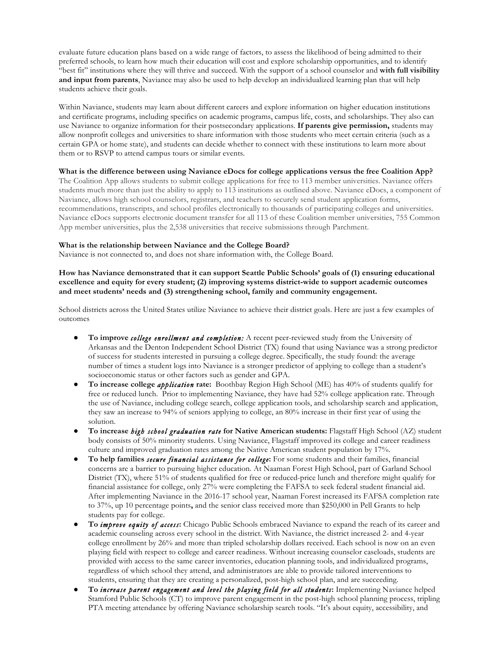evaluate future education plans based on a wide range of factors, to assess the likelihood of being admitted to their preferred schools, to learn how much their education will cost and explore scholarship opportunities, and to identify "best fit" institutions where they will thrive and succeed. With the support of a school counselor and **with full visibility and input from parents**, Naviance may also be used to help develop an individualized learning plan that will help students achieve their goals.

 Within Naviance, students may learn about different careers and explore information on higher education institutions and certificate programs, including specifics on academic programs, campus life, costs, and scholarships. They also can use Naviance to organize information for their postsecondary applications. **If parents give permission,** students may allow nonprofit colleges and universities to share information with those students who meet certain criteria (such as a certain GPA or home state), and students can decide whether to connect with these institutions to learn more about them or to RSVP to attend campus tours or similar events.

# **What is the difference between using Naviance eDocs for college applications versus the free Coalition App?**

 The Coalition App allows students to submit college applications for free to 113 member universities. Naviance offers students much more than just the ability to apply to 113 institutions as outlined above. Naviance eDocs, a component of Naviance, allows high school counselors, registrars, and teachers to securely send student application forms, recommendations, transcripts, and school profiles electronically to thousands of participating colleges and universities. Naviance eDocs supports electronic document transfer for all 113 of these Coalition member universities, 755 Common App member universities, plus the 2,538 universities that receive submissions through Parchment.

# **What is the relationship between Naviance and the College Board?**

Naviance is not connected to, and does not share information with, the College Board.

 **How has Naviance demonstrated that it can support Seattle Public Schools' goals of (1) ensuring educational excellence and equity for every student; (2) improving systems district-wide to support academic outcomes and meet students' needs and (3) strengthening school, family and community engagement.** 

 School districts across the United States utilize Naviance to achieve their district goals. Here are just a few examples of outcomes

- **•** To improve *college enrollment and completion:* A recent peer-reviewed study from the University of Arkansas and the Denton Independent School District (TX) found that using Naviance was a strong predictor of success for students interested in pursuing a college degree. Specifically, the study found: the average number of times a student logs into Naviance is a stronger predictor of applying to college than a student's socioeconomic status or other factors such as gender and GPA.
- **To increase college** *application* **rate:** Boothbay Region High School (ME) has 40% of students qualify for free or reduced lunch. Prior to implementing Naviance, they have had 52% college application rate. Through the use of Naviance, including college search, college application tools, and scholarship search and application, they saw an increase to 94% of seniors applying to college, an 80% increase in their first year of using the solution.
- **To increase** *high school graduation rate* **for Native American students:** Flagstaff High School (AZ) student body consists of 50% minority students. Using Naviance, Flagstaff improved its college and career readiness culture and improved graduation rates among the Native American student population by 17%.
- **To help families** *secure financial assistance for college***:** For some students and their families, financial concerns are a barrier to pursuing higher education. At Naaman Forest High School, part of Garland School District (TX), where 51% of students qualified for free or reduced-price lunch and therefore might qualify for financial assistance for college, only 27% were completing the FAFSA to seek federal student financial aid. After implementing Naviance in the 2016-17 school year, Naaman Forest increased its FAFSA completion rate to 37%, up 10 percentage points**,** and the senior class received more than \$250,000 in Pell Grants to help students pay for college.
- ● **To** *improve equity of access***:** Chicago Public Schools embraced Naviance to expand the reach of its career and academic counseling across every school in the district. With Naviance, the district increased 2- and 4-year college enrollment by 26% and more than tripled scholarship dollars received. Each school is now on an even playing field with respect to college and career readiness. Without increasing counselor caseloads, students are provided with access to the same career inventories, education planning tools, and individualized programs, regardless of which school they attend, and administrators are able to provide tailored interventions to students, ensuring that they are creating a personalized, post-high school plan, and are succeeding.
- ● **To** *increase parent engagement and level the playing field for all students***:** Implementing Naviance helped Stamford Public Schools (CT) to improve parent engagement in the post-high school planning process, tripling PTA meeting attendance by offering Naviance scholarship search tools. "It's about equity, accessibility, and